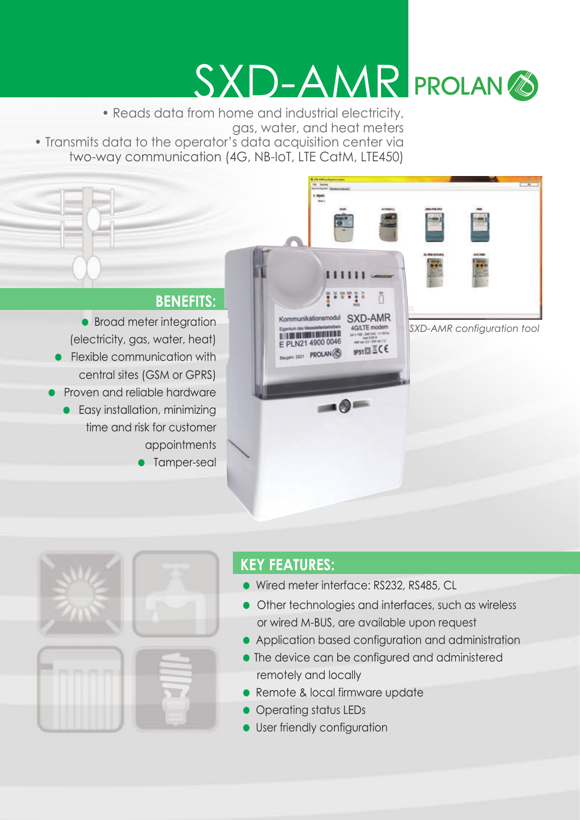# SXD-AMR PROLAN<sup>®</sup>

t mei

• Reads data from home and industrial electricity, gas, water, and heat meters • Transmits data to the operator's data acquisition center via two-way communication (4G, NB-IoT, LTE CatM, LTE450)

#### **BENEFITS:**

• Broad meter integration (electricity, gas, water, heat) • Flexible communication with central sites (GSM or GPRS) • Proven and reliable hardware • Easy installation, minimizing time and risk for customer appointments • Tamper-seal

 $111111$ ; : : : : : ñ Kommunikationsmodul SXD-AMR *SXD-AMR configuration tool***4GATE** modern **UNITED RESIDENTS OF DESCRIPTION OF REAL** E PLN21 4900 0046 **IP51回**∑CE  $E = 2021$  PROLAN  $\circled{8}$  $-0$ 



## **KEY FEATURES:**

- Wired meter interface: RS232, RS485, CL
- Other technologies and interfaces, such as wireless or wired M-BUS, are available upon request
- Application based configuration and administration
- The device can be configured and administered remotely and locally
- Remote & local firmware update
- Operating status LEDs
- **•** User friendly configuration